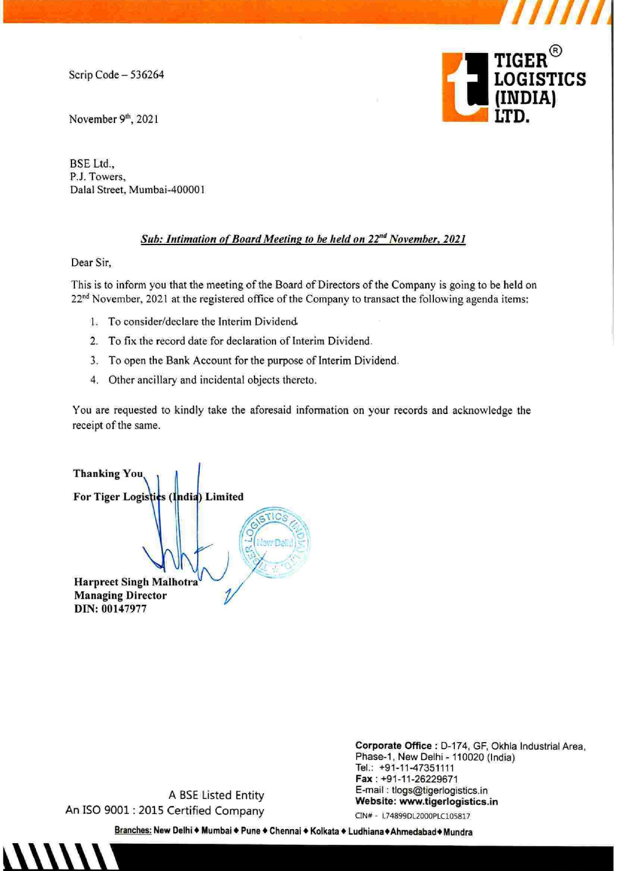Scrip Code — 536264

November 9th, 2021

TIGER<sup>®</sup><br>LOGISTICS<br>(INDIA)

BSE Ltd., P.J. Towers, Dalal Street, Mumbai-400001

## Sub: Intimation of Board Meeting to be held on 22<sup>nd</sup> November, 2021

a ail fy Singapura and an ail fy Singapura and an ail fy Singapura and an ail fy Singapura and an ail fy Singapura

Dear Sir,

This is to inform you that the meeting of the Board of Directors of the Company is going to be held on 22<sup>nd</sup> November, 2021 at the registered office of the Company to transact the following agenda items:

- 1. To consider/declare the Interim Dividend
- 2. To fix the record date for declaration of Interim Dividend.
- 3. To open the Bank Account for the purpose of Interim Dividend.
- 4. Other ancillary and incidental objects thereto.

You are requested to kindly take the aforesaid information on your records and acknowledge the receipt of the same.

Wh Malhotra<br>
7<br>
A BSE Listed Entity<br>
2015 Certified Company<br>
89: New Delhi • Mumbai • Pune • Chennai Thanking You For Tiger Logisti¢s (India) Limited Harpreet Singh Malhotra **Managing Director** DIN: 00147977

Corporate Office : D-174, GF, Okhia Industrial Area, Phase-1, New Delhi - 110020 (India) Tel.: +91-11-47351111 Fax : +91-11-26229671 A BSE Listed Entity E-mail : tlogs@tigerlogistics.in

Website: www.tigerlogistics.in<br>An ISO 9001 : 2015 Certified Company CIN# - L74899DL2000PLC105817<br>Branches: New Delhi • Mumbai • Pune • Chennai • Kolkata • Ludhiana • Ahmedabad • Mundra

pany<br>Pune◆Ch <u>Branches:</u> New Delhi ♦ Mumbai ♦ Pune ♦ Chennai ♦ Kolkata ♦ Ludhiana ♦ Ahmedabad ♦ Mundra